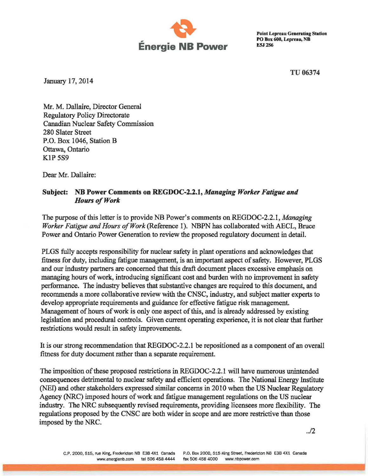

PO Box 600, Lepreau, NB

TU06374

January 17, 2014

Mr. M. Dallaire, Director General Regulatory Policy Directorate Canadian Nuclear Safety Commission 280 Slater Street P.O. Box 1046, Station B Ottawa, Ontario KIP 5S9

Dear Mr. Dallaire:

## Subject: NB Power Comments on REGDOC-2.2.1, *Managing Worker Fatigue and* Hours of Work

The purpose of this letter is to provide NB Power's comments on REGDOC-2.2.1, *Managing Worker Fatigue and Hours ofWork* (Reference I). NBPN has collaborated with AECL, Bruce Power and Ontario Power Generation to review the proposed regulatory document in detail.

PLGS fully accepts responsibility for nuclear safety in plant operations and acknowledges that fitness for duty, including fatigue management, is an important aspect of safety. However, PLGS and our industry partners are concerned that this draft document places excessive emphasis on managing hours of work, introducing significant cost and burden with no improvement in safety performance. The industry believes that substantive changes are required to this document, and recommends a more collaborative review with the CNSC, industry, and subject matter experts to develop appropriate requirements and guidance for effective fatigue risk management. Management of hours of work is only one aspect of this, and is already addressed by existing legislation and procedural controls. Given current operating experience, it is not clear that further restrictions would result in safety improvements.

It is our strong recommendation that REGDOC-2.2.1 be repositioned as a component of an overall fitness for duty document rather than a separate requirement.

The imposition of these proposed restrictions in REGDOC-2.2.1 will have numerous unintended consequences detrimental to nuclear safety and efficient operations. The National Energy Institute (NEI) and other stakeholders expressed similar concerns in 2010 when the US Nuclear Regulatory Agency (NRC) imposed hours of work and fatigue management regulations on the US nuclear industry. The NRC subsequently revised requirements, providing licensees more flexibility. The regulations proposed by the CNSC are both wider in scope and are more restrictive than those imposed by the NRC.

*..12*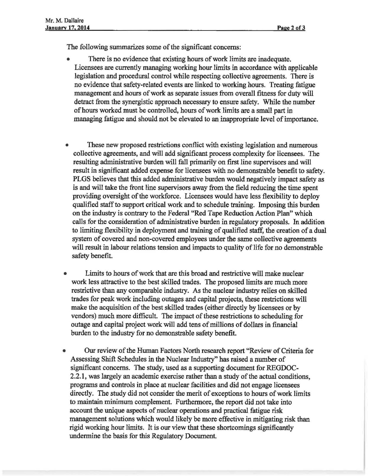The following summarizes some of the significant concerns:

- There is no evidence that existing hours of work limits are inadequate. Licensees are currently managing working hour limits in accordance with applicable legislation and procedural control while respecting collective agreements. There is no evidence that safety-related events are linked to working hours. Treating fatigue management and hours of work as separate issues from overall fitness for duty will detract from the synergistic approach necessary to ensure safety. While the number ofhours worked must be controlled, hours ofwork limits are a small part in managing fatigue and should not be elevated to an inappropriate level of importance.
- These new proposed restrictions conflict with existing legislation and numerous collective agreements, and will add significant process complexity for licensees. The resulting administrative burden will fall primarily on first line supervisors and will result in significant added expense for licensees with no demonstrable benefit to safety. PLGS believes that this added administrative burden would negatively impact safety as is and will take the front line supervisors away from the field reducing the time spent providing oversight of the workforce. Licensees would have less flexibility to deploy qualified staffto support critical work and to schedule training. Imposing this burden on the industry is contrary to the Federal "Red Tape Reduction Action Plan" which calls for the consideration of administrative burden in regulatory proposals. In addition to limiting flexibility in deployment and training of qualified staff, the creation of a dual system of covered and non-covered employees under the same collective agreements will result in labour relations tension and impacts to quality of life for no demonstrable safety benefit.
- Limits to hours of work that are this broad and restrictive will make nuclear work less attractive to the best skilled trades. The proposed limits are much more restrictive than any comparable industry. As the nuclear industry relies on skilled trades for peak work including outages and capital projects, these restrictions will make the acquisition of the best skilled trades (either directly by licensees or by vendors) much more difficult. The impact of these restrictions to scheduling for outage and capital project work will add tens of millions of dollars in financial burden to the industry for no demonstrable safety benefit.
- Our review of the Human Factors North research report "Review of Criteria for Assessing Shift Schedules in the Nuclear Industry" has raised a number of significant concerns. The study, used as a supporting document for REGDOC-2.2.1, was largely an academic exercise rather than a study of the actual conditions, programs and controls in place at nuclear facilities and did not engage licensees directly. The study did not consider the merit of exceptions to hours of work limits to maintain minimum complement. Furthermore, the report did not take into account the unique aspects of nuclear operations and practical fatigue risk management solutions which would likely be more effective in mitigating risk than rigid working hour limits. It is our view that these shortcomings significantly undermine the basis for this Regulatory Document.